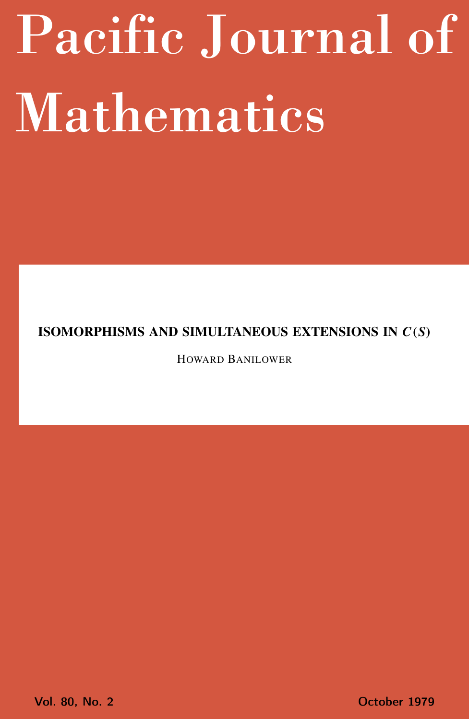# <span id="page-0-0"></span>Pacific Journal of Mathematics

## ISOMORPHISMS AND SIMULTANEOUS EXTENSIONS IN *C*(*S*)

HOWARD BANILOWER

Vol. 80, No. 2 October 1979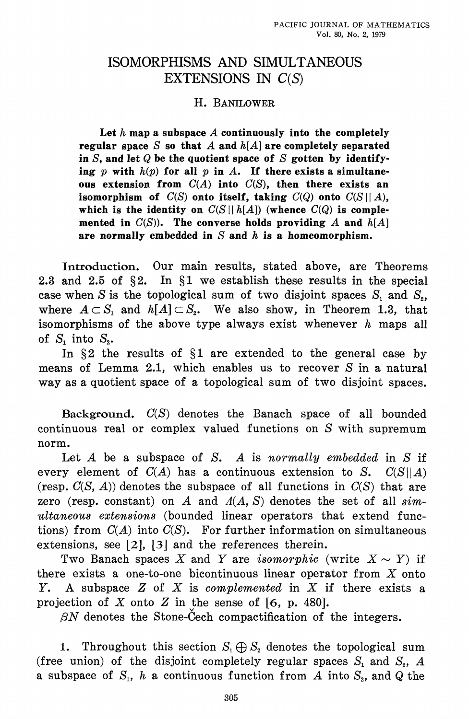## **ISOMORPHISMS AND SIMULTANEOUS** EXTENSIONS IN  $C(S)$

## H. BANILOWER

Let  $h$  map a subspace  $A$  continuously into the completely regular space  $S$  so that  $A$  and  $h[A]$  are completely separated in S, and let Q be the quotient space of S gotten by identifying  $p$  with  $h(p)$  for all  $p$  in  $A$ . If there exists a simultaneous extension from  $C(A)$  into  $C(S)$ , then there exists an isomorphism of  $C(S)$  onto itself, taking  $C(Q)$  onto  $C(S||A)$ , which is the identity on  $C(S||h[A])$  (whence  $C(Q)$  is complemented in  $C(S)$ ). The converse holds providing A and  $h[A]$ are normally embedded in  $S$  and  $h$  is a homeomorphism.

Introduction. Our main results, stated above, are Theorems 2.3 and 2.5 of  $\S2$ . In  $\S1$  we establish these results in the special case when S is the topological sum of two disjoint spaces  $S_1$  and  $S_2$ , where  $A \subset S_1$  and  $h[A] \subset S_2$ . We also show, in Theorem 1.3, that isomorphisms of the above type always exist whenever  $h$  maps all of  $S$ , into  $S<sub>2</sub>$ .

In  $\S2$  the results of  $\S1$  are extended to the general case by means of Lemma 2.1, which enables us to recover S in a natural way as a quotient space of a topological sum of two disjoint spaces.

Background.  $C(S)$  denotes the Banach space of all bounded continuous real or complex valued functions on S with supremum norm.

Let  $A$  be a subspace of  $S$ .  $A$  is normally embedded in  $S$  if every element of  $C(A)$  has a continuous extension to S.  $C(S||A)$ (resp.  $C(S, A)$ ) denotes the subspace of all functions in  $C(S)$  that are zero (resp. constant) on A and  $A(A, S)$  denotes the set of all  $sim$ ultaneous extensions (bounded linear operators that extend functions) from  $C(A)$  into  $C(S)$ . For further information on simultaneous extensions, see  $[2]$ ,  $[3]$  and the references therein.

Two Banach spaces X and Y are *isomorphic* (write  $X \sim Y$ ) if there exists a one-to-one bicontinuous linear operator from  $X$  onto Y. A subspace  $Z$  of  $X$  is complemented in  $X$  if there exists a projection of X onto Z in the sense of  $[6, p. 480]$ .

 $\beta N$  denotes the Stone-Cech compactification of the integers.

Throughout this section  $S_1 \oplus S_2$  denotes the topological sum  $1.$ (free union) of the disjoint completely regular spaces  $S_1$  and  $S_2$ , A a subspace of  $S_1$ , h a continuous function from A into  $S_2$ , and Q the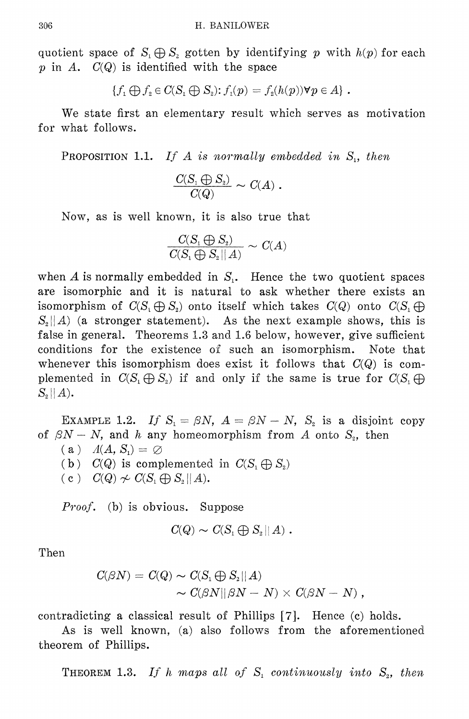quotient space of  $S_i \oplus S_i$  gotten by identifying p with  $h(p)$  for each p in A.  $C(Q)$  is identified with the space

$$
\{f_1 \bigoplus f_2 \in C(S_1 \bigoplus S_2) : f_1(p) = f_2(h(p)) \forall p \in A\}.
$$

We state first an elementary result which serves as motivation for what follows.

**PROPOSITION 1.1.** If A is normally embedded in  $S<sub>1</sub>$ , then

$$
\frac{C(S_{_1} \bigoplus S_{_2})}{C(Q)} \sim C(A) \; .
$$

Now, as is well known, it is also true that

$$
\frac{C(S_i \oplus S_i)}{C(S_i \oplus S_i || A)} \sim C(A)
$$

when  $A$  is normally embedded in  $S<sub>1</sub>$ . Hence the two quotient spaces are isomorphic and it is natural to ask whether there exists an isomorphism of  $C(S_i \oplus S_i)$  onto itself which takes  $C(Q)$  onto  $C(S_i \oplus S_i)$  $S_2||A|$  (a stronger statement). As the next example shows, this is false in general. Theorems 1.3 and 1.6 below, however, give sufficient conditions for the existence of such an isomorphism. Note that whenever this isomorphism does exist it follows that  $C(Q)$  is complemented in  $C(S_1 \oplus S_2)$  if and only if the same is true for  $C(S_1 \oplus S_2)$  $S_{\circ}||A).$ 

EXAMPLE 1.2. If  $S_1 = \beta N$ ,  $A = \beta N - N$ ,  $S_2$  is a disjoint copy of  $\beta N - N$ , and h any homeomorphism from A onto  $S_z$ , then

- $(a)$   $A(A, S<sub>1</sub>) = \emptyset$
- (b)  $C(Q)$  is complemented in  $C(S_1 \oplus S_2)$
- $(c)$   $C(Q) \nless C(S_1 \oplus S_2 || A).$

*Proof.* (b) is obvious. Suppose

$$
C(Q) \thicksim C(S_1 \bigoplus S_2 || A) \thickspace .
$$

Then

$$
\begin{aligned} C(\beta N) & = C(Q) \thicksim C(S_1 \oplus S_2 || \emph{A}) \\ & \thicksim C(\beta N || \beta N - N) \times C(\beta N - N) \, , \end{aligned}
$$

contradicting a classical result of Phillips [7]. Hence (c) holds.

As is well known, (a) also follows from the aforementioned theorem of Phillips.

THEOREM 1.3. If h maps all of  $S_1$  continuously into  $S_2$ , then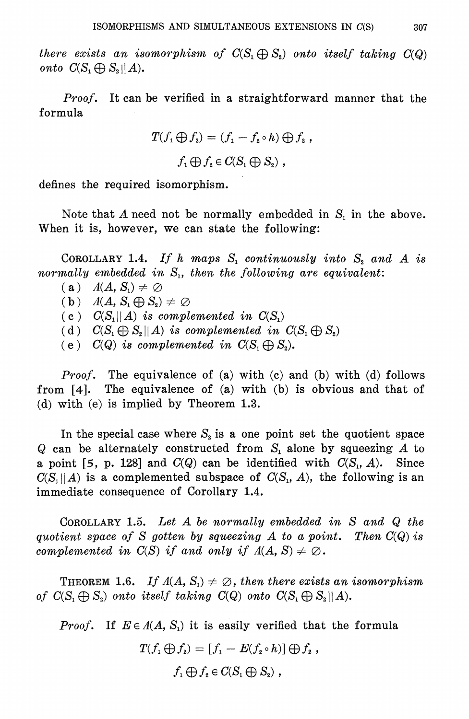there exists an isomorphism of  $C(S_1 \oplus S_2)$  onto itself taking  $C(Q)$ onto  $C(S, \bigoplus S_{\alpha} | A)$ .

Proof. It can be verified in a straightforward manner that the formula

$$
T(f_1 \bigoplus f_2) = (f_1 - f_2 \circ h) \bigoplus f_2 ,
$$
  

$$
f_1 \bigoplus f_2 \in C(S_1 \bigoplus S_2) ,
$$

defines the required isomorphism.

Note that A need not be normally embedded in  $S_i$  in the above. When it is, however, we can state the following:

COROLLARY 1.4. If h maps  $S_1$  continuously into  $S_2$  and A is normally embedded in  $S_i$ , then the following are equivalent:

- (a)  $A(A, S_1) \neq \emptyset$
- (b)  $A(A, S_1 \oplus S_2) \neq \emptyset$
- (c)  $C(S_1||A)$  is complemented in  $C(S_1)$
- (d)  $C(S_1 \oplus S_2 || A)$  is complemented in  $C(S_1 \oplus S_2)$
- (e)  $C(Q)$  is complemented in  $C(S_1 \oplus S_2)$ .

*Proof.* The equivalence of (a) with (c) and (b) with (d) follows from  $[4]$ . The equivalence of  $(a)$  with  $(b)$  is obvious and that of (d) with (e) is implied by Theorem  $1.3$ .

In the special case where  $S_2$  is a one point set the quotient space  $Q$  can be alternately constructed from  $S<sub>i</sub>$  alone by squeezing A to a point [5, p. 128] and  $C(Q)$  can be identified with  $C(S_1, A)$ . Since  $C(S_i||A)$  is a complemented subspace of  $C(S_i, A)$ , the following is an immediate consequence of Corollary 1.4.

COROLLARY 1.5. Let  $A$  be normally embedded in  $S$  and  $Q$  the quotient space of S gotten by squeezing A to a point. Then  $C(Q)$  is complemented in  $C(S)$  if and only if  $\Lambda(A, S) \neq \emptyset$ .

**THEOREM** 1.6. If  $A(A, S_1) \neq \emptyset$ , then there exists an isomorphism of  $C(S_i \oplus S_2)$  onto itself taking  $C(Q)$  onto  $C(S_i \oplus S_2||A)$ .

*Proof.* If  $E \in A(A, S_1)$  it is easily verified that the formula

$$
T(f_1 \bigoplus f_2) = [f_1 - E(f_2 \circ h)] \bigoplus f_2,
$$

 $f_1 \bigoplus f_2 \in C(S_1 \bigoplus S_2)$ ,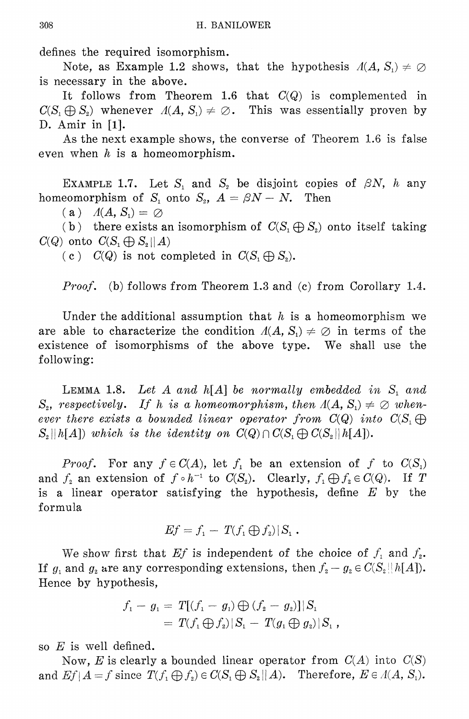defines the required isomorphism.

Note, as Example 1.2 shows, that the hypothesis  $A(A, S_1) \neq \emptyset$ is necessary in the above.

It follows from Theorem 1.6 that  $C(Q)$  is complemented in  $C(S_1 \oplus S_2)$  whenever  $A(A, S_1) \neq \emptyset$ . This was essentially proven by D. Amir in [1].

As the next example shows, the converse of Theorem 1.6 is false even when  $h$  is a homeomorphism.

EXAMPLE 1.7. Let  $S_1$  and  $S_2$  be disjoint copies of  $\beta N$ , h any homeomorphism of  $S_1$  onto  $S_2$ ,  $A = \beta N - N$ . Then

 $(a)$  $\Lambda(A, S_1) = \emptyset$ 

(b) there exists an isomorphism of  $C(S_1 \oplus S_2)$  onto itself taking  $C(Q)$  onto  $C(S_1 \bigoplus S_2 || A)$ 

(c)  $C(Q)$  is not completed in  $C(S_1 \oplus S_2)$ .

*Proof.* (b) follows from Theorem 1.3 and (c) from Corollary 1.4.

Under the additional assumption that h is a homeomorphism we are able to characterize the condition  $A(A, S_1) \neq \emptyset$  in terms of the existence of isomorphisms of the above type. We shall use the following:

LEMMA 1.8. Let A and  $h[A]$  be normally embedded in S, and  $S_z$ , respectively. If h is a homeomorphism, then  $A(A, S_1) \neq \emptyset$  whenever there exists a bounded linear operator from  $C(Q)$  into  $C(S_1 \bigoplus$  $S_2||h[A])$  which is the identity on  $C(Q) \cap C(S_1 \bigoplus C(S_2||h[A]).$ 

*Proof.* For any  $f \in C(A)$ , let  $f_1$  be an extension of f to  $C(S_1)$ and  $f_2$  an extension of  $f \circ h^{-1}$  to  $C(S_2)$ . Clearly,  $f_1 \bigoplus f_2 \in C(Q)$ . If T is a linear operator satisfying the hypothesis, define  $E$  by the formula

$$
Ef = f_1 - T(f_1 \bigoplus f_2) | S_1.
$$

We show first that Ef is independent of the choice of  $f_1$  and  $f_2$ . If  $g_1$  and  $g_2$  are any corresponding extensions, then  $f_2 - g_2 \in C(S_2||h[A]).$ Hence by hypothesis,

$$
f_1 - g_1 = T[(f_1 - g_1) \bigoplus (f_2 - g_2)]|S_1
$$
  
=  $T(f_1 \bigoplus f_2)|S_1 - T(g_1 \bigoplus g_2)|S_1$ ,

so  $E$  is well defined.

Now, E is clearly a bounded linear operator from  $C(A)$  into  $C(S)$ and  $Ef|A = f$  since  $T(f_1 \oplus f_2) \in C(S_1 \oplus S_2 || A)$ . Therefore,  $E \in A(A, S_1)$ .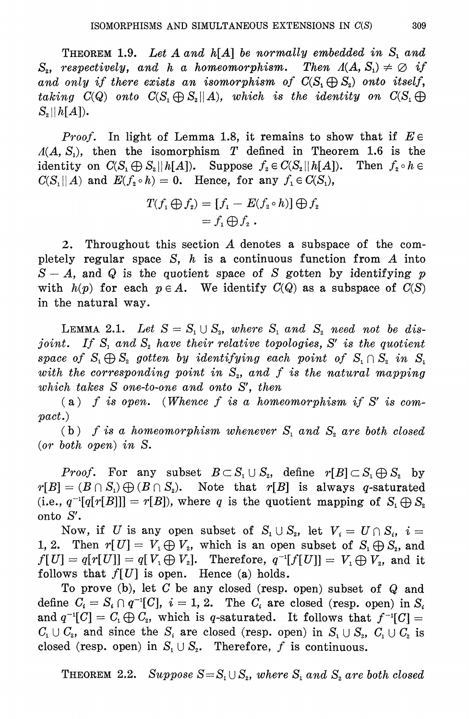THEOREM 1.9. Let A and  $h[A]$  be normally embedded in  $S_1$  and  $S_z$ , respectively, and h a homeomorphism. Then  $\Lambda(A, S_1) \neq \emptyset$  if and only if there exists an isomorphism of  $C(S_1 \oplus S_2)$  onto itself, taking  $C(Q)$  onto  $C(S_1 \oplus S_2 || A)$ , which is the identity on  $C(S_1 \oplus A)$  $S_{2}||h[A]).$ 

*Proof.* In light of Lemma 1.8, it remains to show that if  $E \in$  $A(A, S_1)$ , then the isomorphism T defined in Theorem 1.6 is the identity on  $C(S_1 \oplus S_2 || h[A])$ . Suppose  $f_2 \in C(S_2 || h[A])$ . Then  $f_2 \circ h \in$  $C(S_1||A)$  and  $E(f_2 \circ h) = 0$ . Hence, for any  $f_1 \in C(S_1)$ ,

$$
T(f_1 \bigoplus f_2) = [f_1 - E(f_2 \circ h)] \bigoplus f_2
$$
  
=  $f_1 \bigoplus f_2$ .

Throughout this section A denotes a subspace of the com- $2.$ pletely regular space  $S$ ,  $h$  is a continuous function from  $A$  into  $S-A$ , and Q is the quotient space of S gotten by identifying p with  $h(p)$  for each  $p \in A$ . We identify  $C(Q)$  as a subspace of  $C(S)$ in the natural way.

**LEMMA 2.1.** Let  $S = S_1 \cup S_2$ , where  $S_1$  and  $S_2$  need not be disjoint. If  $S_1$  and  $S_2$  have their relative topologies, S' is the quotient space of  $S_1 \oplus S_2$  gotten by identifying each point of  $S_1 \cap S_2$  in  $S_1$ with the corresponding point in  $S_z$ , and f is the natural mapping which takes S one-to-one and onto S', then

(a) f is open. (Whence f is a homeomorphism if S' is com- $\emph{pact.}$ 

(b) f is a homeomorphism whenever  $S_1$  and  $S_2$  are both closed  $(or\ both\ open)\ in\ S.$ 

*Proof.* For any subset  $B \subset S_1 \cup S_2$ , define  $r[B] \subset S_1 \oplus S_2$  by  $r[B] = (B \cap S_1) \bigoplus (B \cap S_2)$ . Note that  $r[B]$  is always q-saturated (i.e.,  $q^{-1}[q[r[B]]] = r[B]$ ), where q is the quotient mapping of  $S_1 \oplus S_2$ onto S'.

Now, if U is any open subset of  $S_1 \cup S_2$ , let  $V_i = U \cap S_i$ ,  $i =$ 1, 2. Then  $r[U] = V_1 \oplus V_2$ , which is an open subset of  $S_1 \oplus S_2$ , and  $f[U] = q[r[U]] = q[V_1 \oplus V_2]$ . Therefore,  $q^{-1}[f[U]] = V_1 \oplus V_2$ , and it follows that  $f[U]$  is open. Hence (a) holds.

To prove (b), let  $C$  be any closed (resp. open) subset of  $Q$  and define  $C_i = S_i \cap q^{-1}[C], i = 1, 2$ . The  $C_i$  are closed (resp. open) in  $S_i$ and  $q^{-1}[C] = C_1 \oplus C_2$ , which is q-saturated. It follows that  $f^{-1}[C] =$  $C_1 \cup C_2$ , and since the  $S_i$  are closed (resp. open) in  $S_1 \cup S_2$ ,  $C_1 \cup C_2$  is closed (resp. open) in  $S_1 \cup S_2$ . Therefore, f is continuous.

**THEOREM** 2.2. Suppose  $S = S_1 \cup S_2$ , where  $S_1$  and  $S_2$  are both closed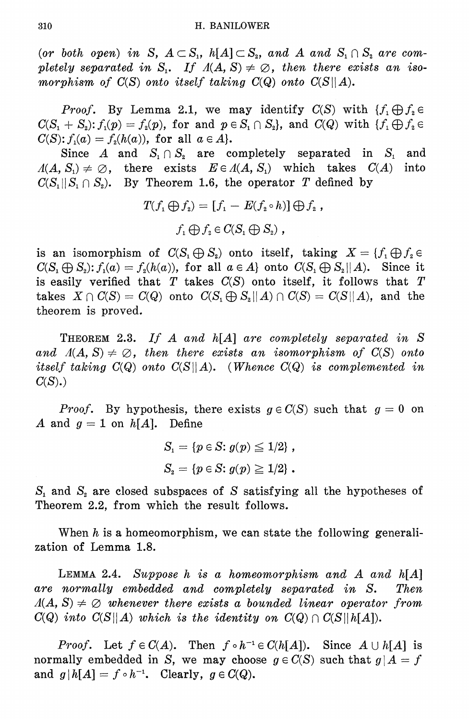(or both open) in S,  $A \subset S_1$ ,  $h[A] \subset S_2$ , and A and  $S_1 \cap S_2$  are completely separated in S<sub>1</sub>. If  $A(A, S) \neq \emptyset$ , then there exists an isomorphism of  $C(S)$  onto itself taking  $C(Q)$  onto  $C(S||A)$ .

*Proof.* By Lemma 2.1, we may identify  $C(S)$  with  $\{f_1 \bigoplus f_2 \in$  $C(S_1 + S_2)$ :  $f_1(p) = f_2(p)$ , for and  $p \in S_1 \cap S_2$ , and  $C(Q)$  with  $\{f_1 \bigoplus f_2 \in S_2\}$  $C(S)$ :  $f_1(a) = f_2(h(a))$ , for all  $a \in A$ .

Since A and  $S_1 \cap S_2$  are completely separated in  $S_1$  and  $A(A, S_1) \neq \emptyset$ , there exists  $E \in A(A, S_1)$  which takes  $C(A)$ into  $C(S_1||S_1 \cap S_2)$ . By Theorem 1.6, the operator T defined by

$$
T(f_1 \bigoplus f_2) = [f_1 - E(f_2 \circ h)] \bigoplus f_2,
$$
  

$$
f_1 \bigoplus f_2 \in C(S_1 \bigoplus S_2),
$$

is an isomorphism of  $C(S_i \oplus S_i)$  onto itself, taking  $X = \{f_i \oplus f_i \in S_i\}$  $C(S_1 \oplus S_2)$ :  $f_1(a) = f_2(h(a))$ , for all  $a \in A$  onto  $C(S_1 \oplus S_2 || A)$ . Since it is easily verified that  $T$  takes  $C(S)$  onto itself, it follows that  $T$ takes  $X \cap C(S) = C(Q)$  onto  $C(S_1 \oplus S_2 || A) \cap C(S) = C(S || A)$ , and the theorem is proved.

THEOREM 2.3. If A and h[A] are completely separated in S and  $\Lambda(A, S) \neq \emptyset$ , then there exists an isomorphism of  $C(S)$  onto itself taking  $C(Q)$  onto  $C(S||A)$ . (Whence  $C(Q)$  is complemented in  $C(S)$ .)

*Proof.* By hypothesis, there exists  $g \in C(S)$  such that  $g = 0$  on A and  $g = 1$  on  $h[A]$ . Define

$$
S_1 = \{p \in S : g(p) \leq 1/2\},\,
$$
  

$$
S_2 = \{p \in S : g(p) \geq 1/2\}.
$$

 $S_1$  and  $S_2$  are closed subspaces of S satisfying all the hypotheses of Theorem 2.2, from which the result follows.

When  $h$  is a homeomorphism, we can state the following generalization of Lemma 1.8.

LEMMA 2.4. Suppose  $h$  is a homeomorphism and  $A$  and  $h[A]$ are normally embedded and completely separated in S. Then  $A(A, S) \neq \emptyset$  whenever there exists a bounded linear operator from  $C(Q)$  into  $C(S||A)$  which is the identity on  $C(Q) \cap C(S||h[A]).$ 

*Proof.* Let  $f \in C(A)$ . Then  $f \circ h^{-1} \in C(h[A])$ . Since  $A \cup h[A]$  is normally embedded in S, we may choose  $g \in C(S)$  such that  $g | A = f$ and  $g[h[A] = f \circ h^{-1}$ . Clearly,  $g \in C(Q)$ .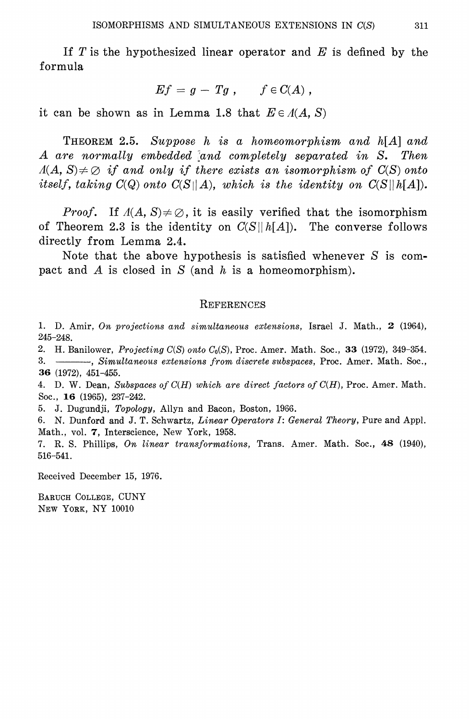If T is the hypothesized linear operator and  $E$  is defined by the formula

$$
Ef = g - Tg , \qquad f \in C(A) ,
$$

it can be shown as in Lemma 1.8 that  $E \in A(A, S)$ 

**THEOREM 2.5.** Suppose h is a homeomorphism and  $h[A]$  and A are normally embedded and completely separated in S. Then  $A(A, S) \neq \emptyset$  if and only if there exists an isomorphism of  $C(S)$  onto itself, taking  $C(Q)$  onto  $C(S||A)$ , which is the identity on  $C(S||h[A])$ .

*Proof.* If  $A(A, S) \neq \emptyset$ , it is easily verified that the isomorphism of Theorem 2.3 is the identity on  $C(S||h[A])$ . The converse follows directly from Lemma 2.4.

Note that the above hypothesis is satisfied whenever  $S$  is compact and A is closed in  $S$  (and h is a homeomorphism).

#### REFERENCES

1. D. Amir, On projections and simultaneous extensions, Israel J. Math., 2 (1964),  $245 - 248$ .

2. H. Banilower, Projecting  $C(S)$  onto  $C_0(S)$ , Proc. Amer. Math. Soc., 33 (1972), 349-354.

- Simultaneous extensions from discrete subspaces, Proc. Amer. Math. Soc., 3. 36 (1972), 451-455.

4. D. W. Dean, Subspaces of  $C(H)$  which are direct factors of  $C(H)$ , Proc. Amer. Math. Soc., 16 (1965), 237-242.

5. J. Dugundji, Topology, Allyn and Bacon, Boston, 1966.

6. N. Dunford and J. T. Schwartz, Linear Operators I: General Theory, Pure and Appl. Math., vol. 7, Interscience, New York, 1958.

7. R. S. Phillips, On linear transformations, Trans. Amer. Math. Soc., 48 (1940), 516-541.

Received December 15, 1976.

BARUCH COLLEGE, CUNY NEW YORK, NY 10010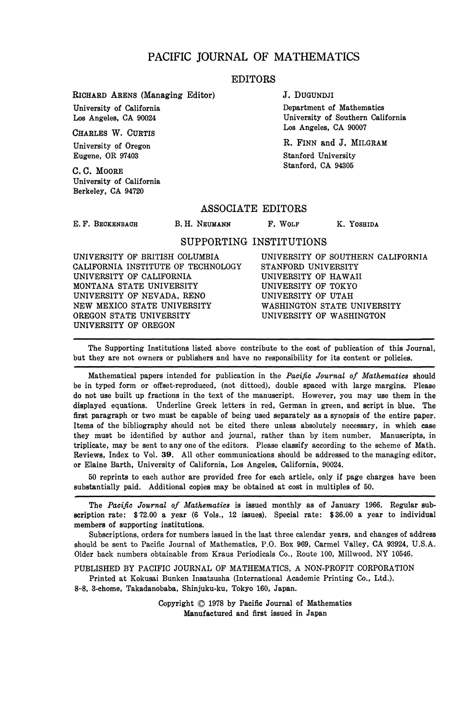### PACIFIC JOURNAL OF MATHEMATICS

#### EDITORS

RICHARD ARENS (Managing Editor)

University of California Los Angeles, CA 90024

CHARLES W. CURTIS University of Oregon Eugene, OR 97403

C. C. MOORE University of California Berkeley, CA 94720

J. DUGUNDJI

Department of Mathematics University of Southern California Los Angeles, CA 90007

R. FINN and J. MILGRAM Stanford University Stanford, CA 94305

ASSOCIATE EDITORS

**E. F. BECKENBAOH**

B. H. NEUMANN F. WOLF K. YOSHIDA

#### SUPPORTING INSTITUTIONS

UNIVERSITY OF BRITISH COLUMBIA CALIFORNIA INSTITUTE OF TECHNOLOGY UNIVERSITY OF CALIFORNIA MONTANA STATE UNIVERSITY UNIVERSITY OF NEVADA, RENO NEW MEXICO STATE UNIVERSITY OREGON STATE UNIVERSITY UNIVERSITY OF OREGON

UNIVERSITY OF SOUTHERN CALIFORNIA STANFORD UNIVERSITY UNIVERSITY OF HAWAII UNIVERSITY OF TOKYO UNIVERSITY OF UTAH WASHINGTON STATE UNIVERSITY UNIVERSITY OF WASHINGTON

The Supporting Institutions listed above contribute to the cost of publication of this Journal, but they are not owners or publishers and have no responsibility for its content or policies.

Mathematical papers intended for publication in the *Pacific Journal of Mathematics* should be in typed form or offset-reproduced, (not dittoed), double spaced with large margins. Please do not use built up fractions in the text of the manuscript. However, you may use them in the displayed equations. Underline Greek letters in red, German in green, and script in blue. The first paragraph or two must be capable of being used separately as a synopsis of the entire paper. Items of the bibliography should not be cited there unless absolutely necessary, in which case they must be identified by author and journal, rather than by item number. Manuscripts, in triplicate, may be sent to any one of the editors. Please classify according to the scheme of Math. Reviews, Index to Vol. 39. All other communications should be addressed to the managing editor, or Elaine Barth, University of California, Los Angeles, California, 90024.

50 reprints to each author are provided free for each article, only if page charges have been substantially paid. Additional copies may be obtained at cost in multiples of 50.

The *Pacific Journal of Mathematics* is issued monthly as of January 1966. Regular subscription rate: \$72.00 a year (6 Vols., 12 issues). Special rate: \$36.00 a year to individual members of supporting institutions.

Subscriptions, orders for numbers issued in the last three calendar years, and changes of address should be sent to Pacific Journal of Mathematics, P.O. Box 969, Carmel Valley, CA 93924, U.S.A. Older back numbers obtainable from Kraus Periodicals Co., Route 100, Millwood, NY 10546.

PUBLISHED BY PACIFIC JOURNAL OF MATHEMATICS, A NON-PROFIT CORPORATION

Printed at Kokusai Bunken Insatsusha (International Academic Printing Co., Ltd.). 8-8, 3-chome, Takadanobaba, Shinjuku-ku, Tokyo 160, Japan.

> Copyright © 1978 by Pacific Journal of Mathematics Manufactured and first issued in Japan